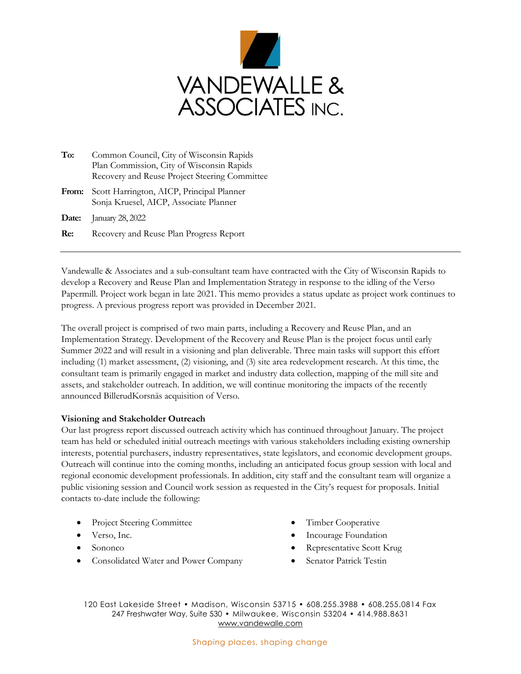

| Common Council, City of Wisconsin Rapids      |
|-----------------------------------------------|
| Plan Commission, City of Wisconsin Rapids     |
| Recovery and Reuse Project Steering Committee |
|                                               |

**From:** Scott Harrington, AICP, Principal Planner Sonja Kruesel, AICP, Associate Planner

**Date:** January 28, 2022

**Re:** Recovery and Reuse Plan Progress Report

Vandewalle & Associates and a sub-consultant team have contracted with the City of Wisconsin Rapids to develop a Recovery and Reuse Plan and Implementation Strategy in response to the idling of the Verso Papermill. Project work began in late 2021. This memo provides a status update as project work continues to progress. A previous progress report was provided in December 2021.

The overall project is comprised of two main parts, including a Recovery and Reuse Plan, and an Implementation Strategy. Development of the Recovery and Reuse Plan is the project focus until early Summer 2022 and will result in a visioning and plan deliverable. Three main tasks will support this effort including (1) market assessment, (2) visioning, and (3) site area redevelopment research. At this time, the consultant team is primarily engaged in market and industry data collection, mapping of the mill site and assets, and stakeholder outreach. In addition, we will continue monitoring the impacts of the recently announced BillerudKorsnäs acquisition of Verso.

## **Visioning and Stakeholder Outreach**

Our last progress report discussed outreach activity which has continued throughout January. The project team has held or scheduled initial outreach meetings with various stakeholders including existing ownership interests, potential purchasers, industry representatives, state legislators, and economic development groups. Outreach will continue into the coming months, including an anticipated focus group session with local and regional economic development professionals. In addition, city staff and the consultant team will organize a public visioning session and Council work session as requested in the City's request for proposals. Initial contacts to-date include the following:

- **Project Steering Committee**
- Verso, Inc.
- Sononco
- Consolidated Water and Power Company
- Timber Cooperative
- Incourage Foundation
- Representative Scott Krug
- Senator Patrick Testin

120 East Lakeside Street • Madison, Wisconsin 53715 • 608.255.3988 • 608.255.0814 Fax 247 Freshwater Way, Suite 530 • Milwaukee, Wisconsin 53204 • 414.988.8631 [www.vandewalle.com](http://www.vandewalle.com/)

## Shaping places, shaping change